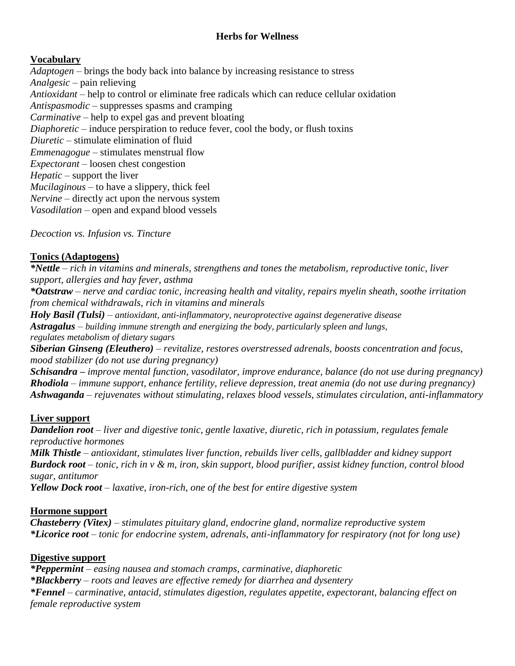# **Herbs for Wellness**

# **Vocabulary**

*Adaptogen* – brings the body back into balance by increasing resistance to stress *Analgesic* – pain relieving *Antioxidant* – help to control or eliminate free radicals which can reduce cellular oxidation *Antispasmodic* – suppresses spasms and cramping *Carminative* – help to expel gas and prevent bloating *Diaphoretic* – induce perspiration to reduce fever, cool the body, or flush toxins *Diuretic* – stimulate elimination of fluid *Emmenagogue –* stimulates menstrual flow *Expectorant* – loosen chest congestion *Hepatic* – support the liver *Mucilaginous* – to have a slippery, thick feel *Nervine* – directly act upon the nervous system *Vasodilation* – open and expand blood vessels

*Decoction vs. Infusion vs. Tincture*

## **Tonics (Adaptogens)**

*\*Nettle – rich in vitamins and minerals, strengthens and tones the metabolism, reproductive tonic, liver support, allergies and hay fever, asthma*

*\*Oatstraw – nerve and cardiac tonic, increasing health and vitality, repairs myelin sheath, soothe irritation from chemical withdrawals, rich in vitamins and minerals*

*Holy Basil (Tulsi) – antioxidant, anti-inflammatory, neuroprotective against degenerative disease*

*Astragalus – building immune strength and energizing the body, particularly spleen and lungs, regulates metabolism of dietary sugars*

*Siberian Ginseng (Eleuthero) – revitalize, restores overstressed adrenals, boosts concentration and focus, mood stabilizer (do not use during pregnancy)*

*Schisandra – improve mental function, vasodilator, improve endurance, balance (do not use during pregnancy) Rhodiola – immune support, enhance fertility, relieve depression, treat anemia (do not use during pregnancy) Ashwaganda – rejuvenates without stimulating, relaxes blood vessels, stimulates circulation, anti-inflammatory*

# **Liver support**

*Dandelion root – liver and digestive tonic, gentle laxative, diuretic, rich in potassium, regulates female reproductive hormones*

*Milk Thistle – antioxidant, stimulates liver function, rebuilds liver cells, gallbladder and kidney support Burdock root – tonic, rich in v & m, iron, skin support, blood purifier, assist kidney function, control blood sugar, antitumor*

*Yellow Dock root – laxative, iron-rich, one of the best for entire digestive system*

## **Hormone support**

*Chasteberry (Vitex) – stimulates pituitary gland, endocrine gland, normalize reproductive system \*Licorice root – tonic for endocrine system, adrenals, anti-inflammatory for respiratory (not for long use)*

## **Digestive support**

*\*Peppermint – easing nausea and stomach cramps, carminative, diaphoretic \*Blackberry – roots and leaves are effective remedy for diarrhea and dysentery \*Fennel – carminative, antacid, stimulates digestion, regulates appetite, expectorant, balancing effect on female reproductive system*